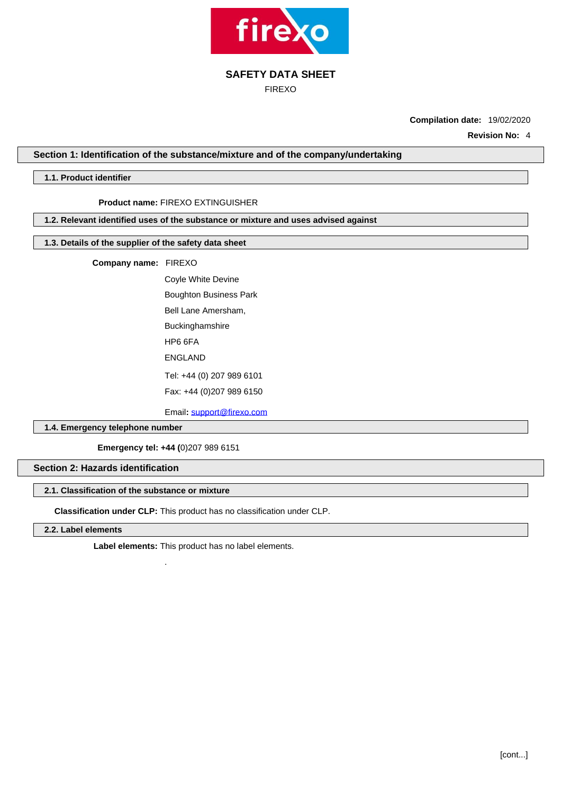

FIREXO

**Compilation date:** 19/02/2020

**Revision No:** 4

**Section 1: Identification of the substance/mixture and of the company/undertaking**

### **1.1. Product identifier**

# **Product name:** FIREXO EXTINGUISHER

**1.2. Relevant identified uses of the substance or mixture and uses advised against**

### **1.3. Details of the supplier of the safety data sheet**

**Company name:** FIREXO

Coyle White Devine Boughton Business Park Bell Lane Amersham, Buckinghamshire HP6 6FA ENGLAND Tel: +44 (0) 207 989 6101 Fax: +44 (0)207 989 6150

Email**:** [support@firexo.com](mailto:support@firexo.com)

**1.4. Emergency telephone number**

**Emergency tel: +44 (**0)207 989 6151

.

### **Section 2: Hazards identification**

# **2.1. Classification of the substance or mixture**

**Classification under CLP:** This product has no classification under CLP.

**2.2. Label elements**

**Label elements:** This product has no label elements.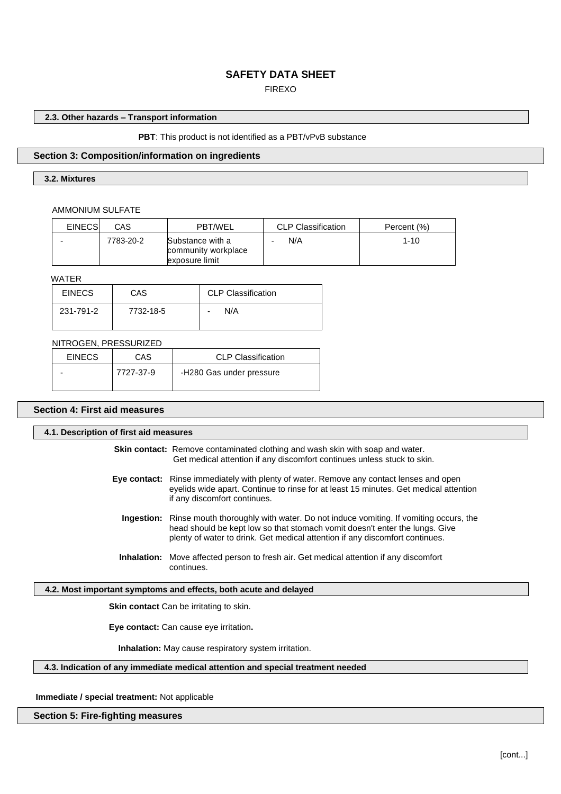# FIREXO

# **2.3. Other hazards – Transport information**

### **PBT**: This product is not identified as a PBT/vPvB substance

### **Section 3: Composition/information on ingredients**

### **3.2. Mixtures**

### AMMONIUM SULFATE

| <b>EINECS</b> | CAS       | <b>PBT/WEL</b>                                            | <b>CLP Classification</b> | Percent (%) |
|---------------|-----------|-----------------------------------------------------------|---------------------------|-------------|
|               | 7783-20-2 | Substance with a<br>community workplace<br>exposure limit | N/A                       | $1 - 10$    |

# WATER

| <b>EINECS</b> | CAS       | <b>CLP Classification</b> |
|---------------|-----------|---------------------------|
| 231-791-2     | 7732-18-5 | N/A<br>$\blacksquare$     |

### NITROGEN, PRESSURIZED

| <b>EINECS</b> | CAS       | <b>CLP Classification</b> |
|---------------|-----------|---------------------------|
|               | 7727-37-9 | -H280 Gas under pressure  |

## **Section 4: First aid measures**

| 4.1. Description of first aid measures |                                                                                                                                                                                                                                                                     |
|----------------------------------------|---------------------------------------------------------------------------------------------------------------------------------------------------------------------------------------------------------------------------------------------------------------------|
|                                        | <b>Skin contact:</b> Remove contaminated clothing and wash skin with soap and water.<br>Get medical attention if any discomfort continues unless stuck to skin.                                                                                                     |
|                                        | <b>Eye contact:</b> Rinse immediately with plenty of water. Remove any contact lenses and open<br>eyelids wide apart. Continue to rinse for at least 15 minutes. Get medical attention<br>if any discomfort continues.                                              |
|                                        | <b>Ingestion:</b> Rinse mouth thoroughly with water. Do not induce vomiting. If vomiting occurs, the<br>head should be kept low so that stomach vomit doesn't enter the lungs. Give<br>plenty of water to drink. Get medical attention if any discomfort continues. |
|                                        | <b>Inhalation:</b> Move affected person to fresh air. Get medical attention if any discomfort<br>continues.                                                                                                                                                         |
|                                        | 4.2. Most important symptoms and effects, both acute and delayed                                                                                                                                                                                                    |
|                                        | <b>Skin contact</b> Can be irritating to skin.                                                                                                                                                                                                                      |
|                                        | Eye contact: Can cause eye irritation.                                                                                                                                                                                                                              |
|                                        | <b>Inhalation:</b> May cause respiratory system irritation.                                                                                                                                                                                                         |

# **4.3. Indication of any immediate medical attention and special treatment needed**

**Immediate / special treatment:** Not applicable

### **Section 5: Fire-fighting measures**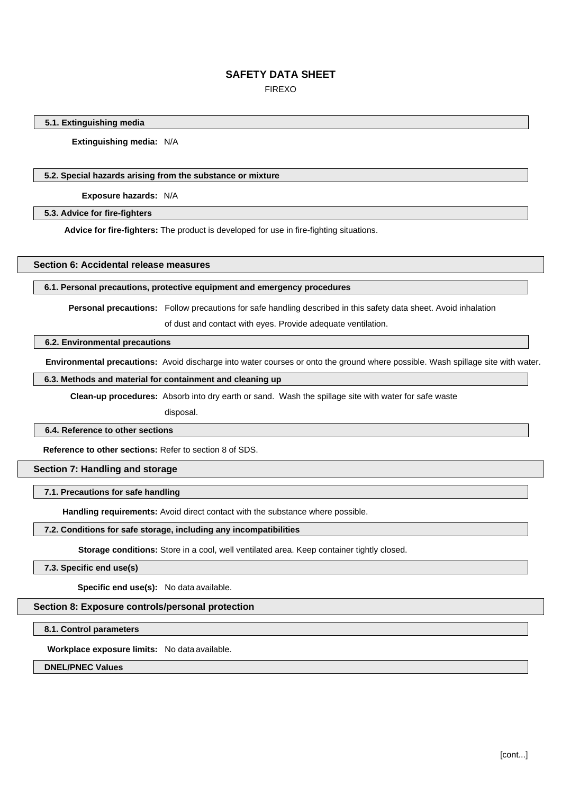FIREXO

### **5.1. Extinguishing media**

**Extinguishing media:** N/A

### **5.2. Special hazards arising from the substance or mixture**

**Exposure hazards:** N/A

### **5.3. Advice for fire-fighters**

**Advice for fire-fighters:** The product is developed for use in fire-fighting situations.

### **Section 6: Accidental release measures**

### **6.1. Personal precautions, protective equipment and emergency procedures**

**Personal precautions:** Follow precautions for safe handling described in this safety data sheet. Avoid inhalation

of dust and contact with eyes. Provide adequate ventilation.

### **6.2. Environmental precautions**

**Environmental precautions:** Avoid discharge into water courses or onto the ground where possible. Wash spillage site with water.

# **6.3. Methods and material for containment and cleaning up**

**Clean-up procedures:** Absorb into dry earth or sand. Wash the spillage site with water for safe waste

disposal.

### **6.4. Reference to other sections**

**Reference to other sections:** Refer to section 8 of SDS.

### **Section 7: Handling and storage**

### **7.1. Precautions for safe handling**

**Handling requirements:** Avoid direct contact with the substance where possible.

### **7.2. Conditions for safe storage, including any incompatibilities**

**Storage conditions:** Store in a cool, well ventilated area. Keep container tightly closed.

### **7.3. Specific end use(s)**

**Specific end use(s):** No data available.

### **Section 8: Exposure controls/personal protection**

### **8.1. Control parameters**

**Workplace exposure limits:** No data available.

### **DNEL/PNEC Values**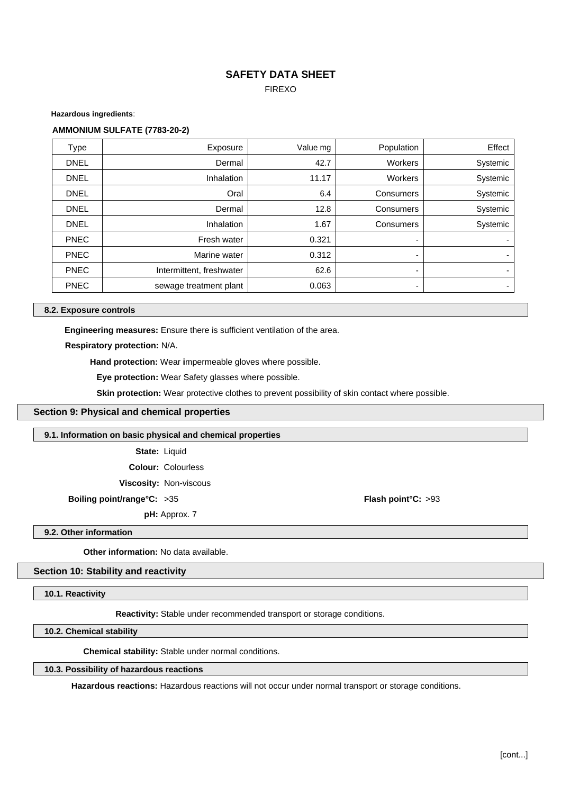FIREXO

**Hazardous ingredients**:

### **AMMONIUM SULFATE (7783-20-2)**

| Type        | Exposure                 | Value mg | Population     | Effect                   |
|-------------|--------------------------|----------|----------------|--------------------------|
| <b>DNEL</b> | Dermal                   | 42.7     | <b>Workers</b> | Systemic                 |
| <b>DNEL</b> | <b>Inhalation</b>        | 11.17    | <b>Workers</b> | Systemic                 |
| <b>DNEL</b> | Oral                     | 6.4      | Consumers      | Systemic                 |
| <b>DNEL</b> | Dermal                   | 12.8     | Consumers      | Systemic                 |
| <b>DNEL</b> | Inhalation               | 1.67     | Consumers      | Systemic                 |
| <b>PNEC</b> | Fresh water              | 0.321    |                |                          |
| <b>PNEC</b> | Marine water             | 0.312    | ۰              |                          |
| <b>PNEC</b> | Intermittent, freshwater | 62.6     | ۰              | $\overline{\phantom{0}}$ |
| <b>PNEC</b> | sewage treatment plant   | 0.063    | ۰              | $\overline{\phantom{0}}$ |

### **8.2. Exposure controls**

**Engineering measures:** Ensure there is sufficient ventilation of the area.

**Respiratory protection:** N/A.

**Hand protection:** Wear **i**mpermeable gloves where possible.

**Eye protection:** Wear Safety glasses where possible.

**Skin protection:** Wear protective clothes to prevent possibility of skin contact where possible.

### **Section 9: Physical and chemical properties**

### **9.1. Information on basic physical and chemical properties**

**State:** Liquid

**Colour:** Colourless

**Viscosity:** Non-viscous

**Boiling point/range°C:** >35 **Flash point°C:** >93

**pH:** Approx. 7

**9.2. Other information**

**Other information:** No data available.

### **Section 10: Stability and reactivity**

**10.1. Reactivity**

**Reactivity:** Stable under recommended transport or storage conditions.

**10.2. Chemical stability**

**Chemical stability:** Stable under normal conditions.

### **10.3. Possibility of hazardous reactions**

**Hazardous reactions:** Hazardous reactions will not occur under normal transport or storage conditions.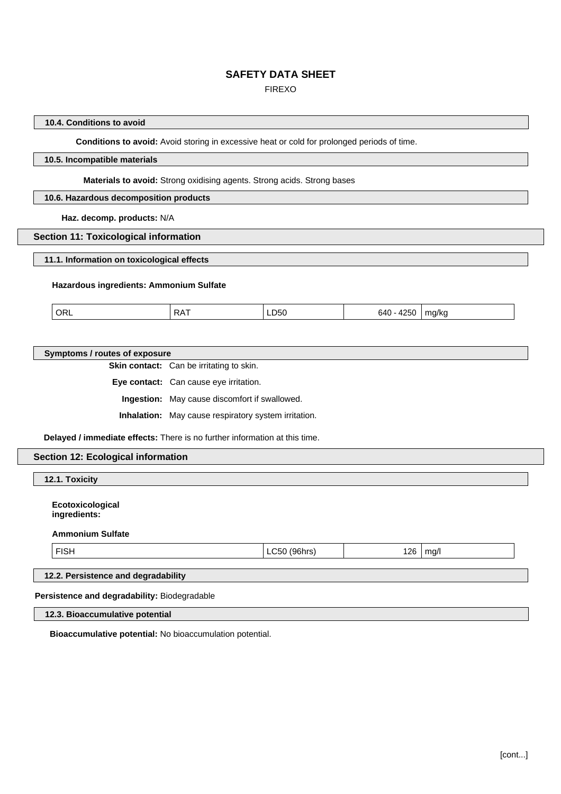FIREXO

### **10.4. Conditions to avoid**

**Conditions to avoid:** Avoid storing in excessive heat or cold for prolonged periods of time.

## **10.5. Incompatible materials**

### **Materials to avoid:** Strong oxidising agents. Strong acids. Strong bases

### **10.6. Hazardous decomposition products**

**Haz. decomp. products:** N/A

### **Section 11: Toxicological information**

**11.1. Information on toxicological effects**

### **Hazardous ingredients: Ammonium Sulfate**

| ORL | . .<br>╌<br>ĸА | ____ | $\sim$ $\sim$ $\sim$<br>ור:'<br>__<br>__ | 11.6<br>אוטויי - |  |
|-----|----------------|------|------------------------------------------|------------------|--|
|     |                |      |                                          |                  |  |

### **Symptoms / routes of exposure**

**Skin contact:** Can be irritating to skin.

**Eye contact:** Can cause eye irritation.

**Ingestion:** May cause discomfort if swallowed.

**Inhalation:** May cause respiratory system irritation.

**Delayed / immediate effects:** There is no further information at this time.

### **Section 12: Ecological information**

**12.1. Toxicity**

**Ecotoxicological ingredients:**

### **Ammonium Sulfate**

| ł<br>. .<br>г. |
|----------------|
|----------------|

 $LC50$  (96hrs)  $\qquad$  126 mg/l

# **12.2. Persistence and degradability**

**Persistence and degradability:** Biodegradable

**12.3. Bioaccumulative potential**

**Bioaccumulative potential:** No bioaccumulation potential.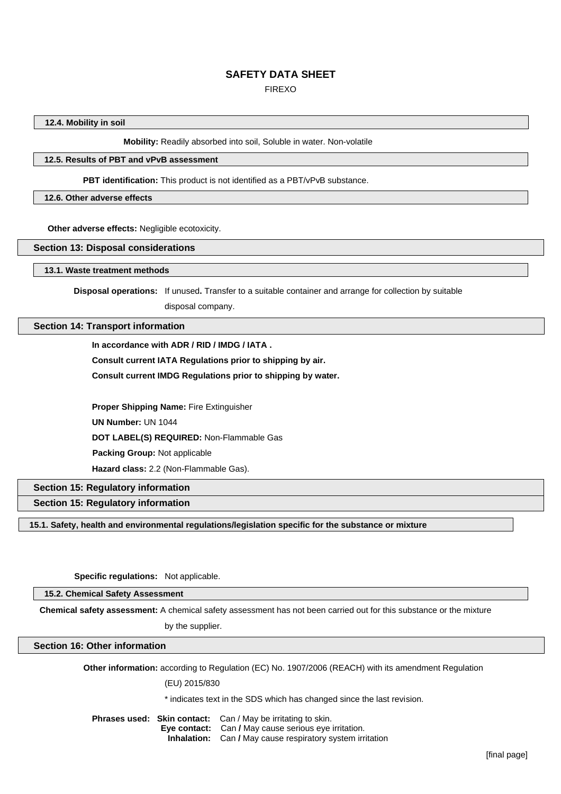FIREXO

### **12.4. Mobility in soil**

**Mobility:** Readily absorbed into soil, Soluble in water. Non-volatile

## **12.5. Results of PBT and vPvB assessment**

**PBT identification:** This product is not identified as a PBT/vPvB substance.

#### **12.6. Other adverse effects**

 **Other adverse effects:** Negligible ecotoxicity.

#### **Section 13: Disposal considerations**

**13.1. Waste treatment methods**

**Disposal operations:** If unused**.** Transfer to a suitable container and arrange for collection by suitable

disposal company.

### **Section 14: Transport information**

**In accordance with ADR / RID / IMDG / IATA .**

**Consult current IATA Regulations prior to shipping by air.**

**Consult current IMDG Regulations prior to shipping by water.**

**Proper Shipping Name:** Fire Extinguisher **UN Number:** UN 1044 **DOT LABEL(S) REQUIRED:** Non-Flammable Gas  **Packing Group:** Not applicable **Hazard class:** 2.2 (Non-Flammable Gas).

# **Section 15: Regulatory information**

**Section 15: Regulatory information**

**15.1. Safety, health and environmental regulations/legislation specific for the substance or mixture**

### **Specific regulations:** Not applicable.

**15.2. Chemical Safety Assessment**

**Chemical safety assessment:** A chemical safety assessment has not been carried out for this substance or the mixture

by the supplier.

### **Section 16: Other information**

**Other information:** according to Regulation (EC) No. 1907/2006 (REACH) with its amendment Regulation

(EU) 2015/830

\* indicates text in the SDS which has changed since the last revision.

**Phrases used: Skin contact:** Can / May be irritating to skin.  **Eye contact:** Can **/** May cause serious eye irritation.  **Inhalation:** Can **/** May cause respiratory system irritation